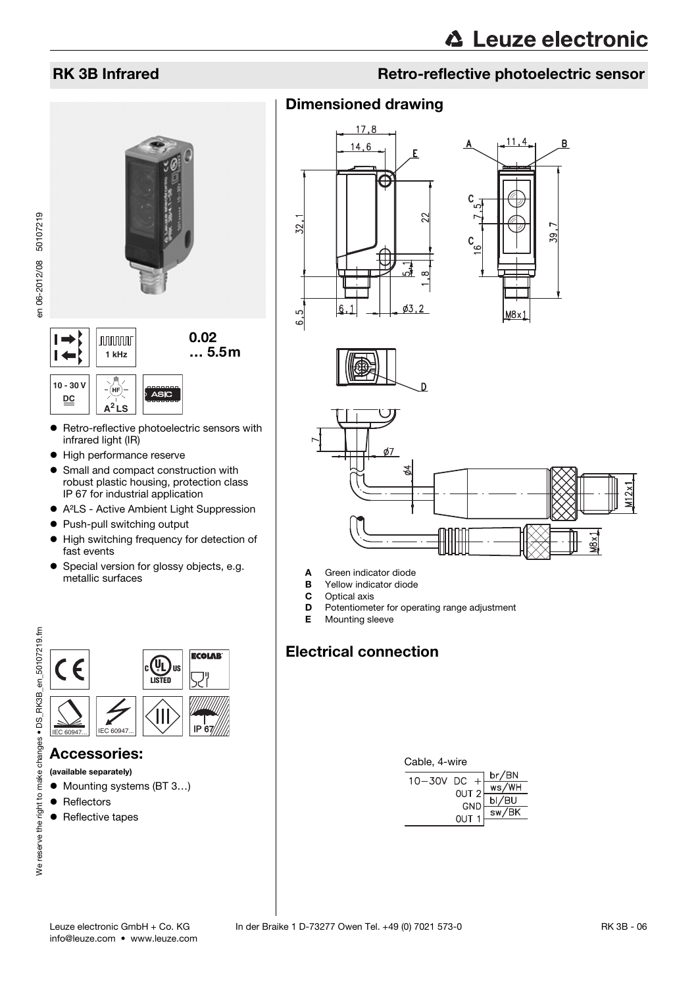# 0.02  $\vdash$ **nnnnn 1 kHz** … 5.5m  $\vdash$ **10 - 30 V** (HF **DC**

- Retro-reflective photoelectric sensors with infrared light (IR)
- $\bullet$  High performance reserve

**A<sup>2</sup> LS**

- Small and compact construction with robust plastic housing, protection class IP 67 for industrial application
- A<sup>2</sup>LS Active Ambient Light Suppression
- Push-pull switching output
- $\bullet$  High switching frequency for detection of fast events
- **•** Special version for glossy objects, e.g. metallic surfaces



#### Accessories:

- (available separately)
- Mounting systems (BT 3...)
- Reflectors
- Reflective tapes



## Dimensioned drawing









- A Green indicator diode
- **B** Yellow indicator diode<br>**C** Optical axis
- Optical axis
- **D** Potentiometer for operating range adjustment
- E Mounting sleeve

# Electrical connection

| Cable, 4-wire   |                  |                                         |
|-----------------|------------------|-----------------------------------------|
| $10 - 30V$ DC + |                  | <u>br/BN</u>                            |
|                 | - - - -<br>Out 2 | ws/WH                                   |
|                 | GND              |                                         |
|                 | $QUT_1$          | $\frac{\overline{bI/BU}}{\text{sw/BK}}$ |
|                 |                  |                                         |

en 06-2012/08 50107219

en 06-2012/08 50107219